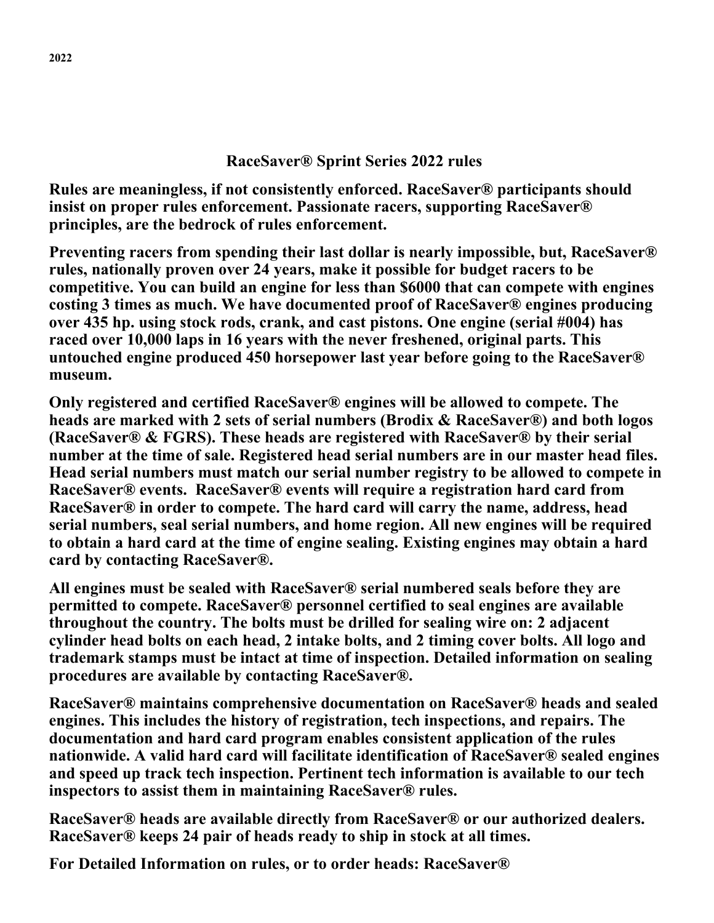## **RaceSaver® Sprint Series 2022 rules**

**Rules are meaningless, if not consistently enforced. RaceSaver® participants should insist on proper rules enforcement. Passionate racers, supporting RaceSaver® principles, are the bedrock of rules enforcement.** 

**Preventing racers from spending their last dollar is nearly impossible, but, RaceSaver® rules, nationally proven over 24 years, make it possible for budget racers to be competitive. You can build an engine for less than \$6000 that can compete with engines costing 3 times as much. We have documented proof of RaceSaver® engines producing over 435 hp. using stock rods, crank, and cast pistons. One engine (serial #004) has raced over 10,000 laps in 16 years with the never freshened, original parts. This untouched engine produced 450 horsepower last year before going to the RaceSaver® museum.**

**Only registered and certified RaceSaver® engines will be allowed to compete. The heads are marked with 2 sets of serial numbers (Brodix & RaceSaver®) and both logos (RaceSaver® & FGRS). These heads are registered with RaceSaver® by their serial number at the time of sale. Registered head serial numbers are in our master head files. Head serial numbers must match our serial number registry to be allowed to compete in RaceSaver® events. RaceSaver® events will require a registration hard card from RaceSaver® in order to compete. The hard card will carry the name, address, head serial numbers, seal serial numbers, and home region. All new engines will be required to obtain a hard card at the time of engine sealing. Existing engines may obtain a hard card by contacting RaceSaver®.**

**All engines must be sealed with RaceSaver® serial numbered seals before they are permitted to compete. RaceSaver® personnel certified to seal engines are available throughout the country. The bolts must be drilled for sealing wire on: 2 adjacent cylinder head bolts on each head, 2 intake bolts, and 2 timing cover bolts. All logo and trademark stamps must be intact at time of inspection. Detailed information on sealing procedures are available by contacting RaceSaver®.** 

**RaceSaver® maintains comprehensive documentation on RaceSaver® heads and sealed engines. This includes the history of registration, tech inspections, and repairs. The documentation and hard card program enables consistent application of the rules nationwide. A valid hard card will facilitate identification of RaceSaver® sealed engines and speed up track tech inspection. Pertinent tech information is available to our tech inspectors to assist them in maintaining RaceSaver® rules.**

**RaceSaver® heads are available directly from RaceSaver® or our authorized dealers. RaceSaver® keeps 24 pair of heads ready to ship in stock at all times.**

**For Detailed Information on rules, or to order heads: RaceSaver®**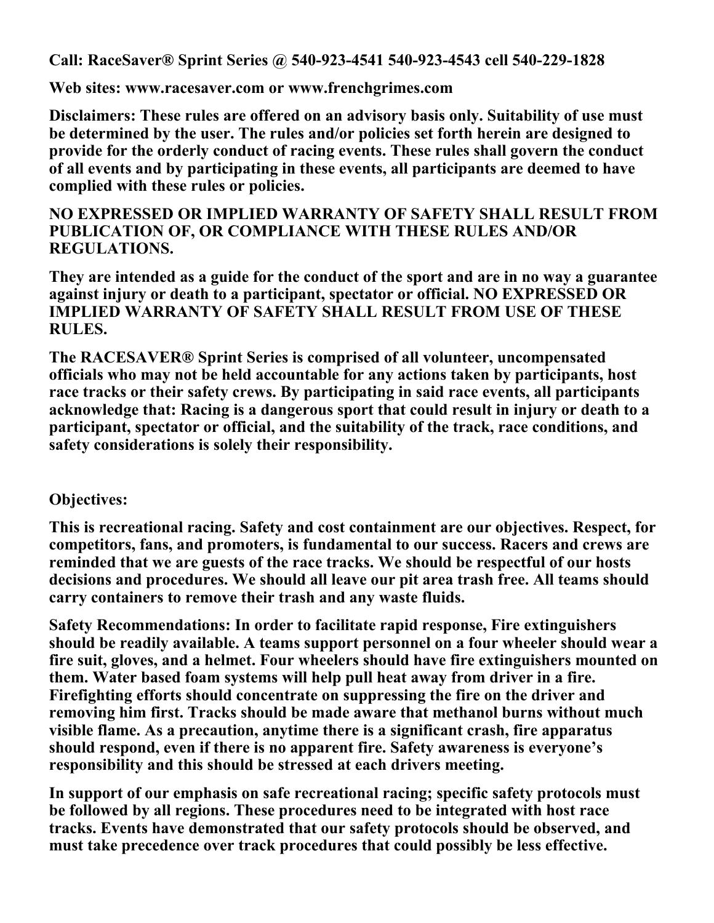**Call: RaceSaver® Sprint Series @ 540-923-4541 540-923-4543 cell 540-229-1828**

**Web sites: www.racesaver.com or www.frenchgrimes.com** 

**Disclaimers: These rules are offered on an advisory basis only. Suitability of use must be determined by the user. The rules and/or policies set forth herein are designed to provide for the orderly conduct of racing events. These rules shall govern the conduct of all events and by participating in these events, all participants are deemed to have complied with these rules or policies.**

## **NO EXPRESSED OR IMPLIED WARRANTY OF SAFETY SHALL RESULT FROM PUBLICATION OF, OR COMPLIANCE WITH THESE RULES AND/OR REGULATIONS.**

**They are intended as a guide for the conduct of the sport and are in no way a guarantee against injury or death to a participant, spectator or official. NO EXPRESSED OR IMPLIED WARRANTY OF SAFETY SHALL RESULT FROM USE OF THESE RULES.**

**The RACESAVER® Sprint Series is comprised of all volunteer, uncompensated officials who may not be held accountable for any actions taken by participants, host race tracks or their safety crews. By participating in said race events, all participants acknowledge that: Racing is a dangerous sport that could result in injury or death to a participant, spectator or official, and the suitability of the track, race conditions, and safety considerations is solely their responsibility.**

# **Objectives:**

**This is recreational racing. Safety and cost containment are our objectives. Respect, for competitors, fans, and promoters, is fundamental to our success. Racers and crews are reminded that we are guests of the race tracks. We should be respectful of our hosts decisions and procedures. We should all leave our pit area trash free. All teams should carry containers to remove their trash and any waste fluids.** 

**Safety Recommendations: In order to facilitate rapid response, Fire extinguishers should be readily available. A teams support personnel on a four wheeler should wear a fire suit, gloves, and a helmet. Four wheelers should have fire extinguishers mounted on them. Water based foam systems will help pull heat away from driver in a fire. Firefighting efforts should concentrate on suppressing the fire on the driver and removing him first. Tracks should be made aware that methanol burns without much visible flame. As a precaution, anytime there is a significant crash, fire apparatus should respond, even if there is no apparent fire. Safety awareness is everyone's responsibility and this should be stressed at each drivers meeting.** 

**In support of our emphasis on safe recreational racing; specific safety protocols must be followed by all regions. These procedures need to be integrated with host race tracks. Events have demonstrated that our safety protocols should be observed, and must take precedence over track procedures that could possibly be less effective.**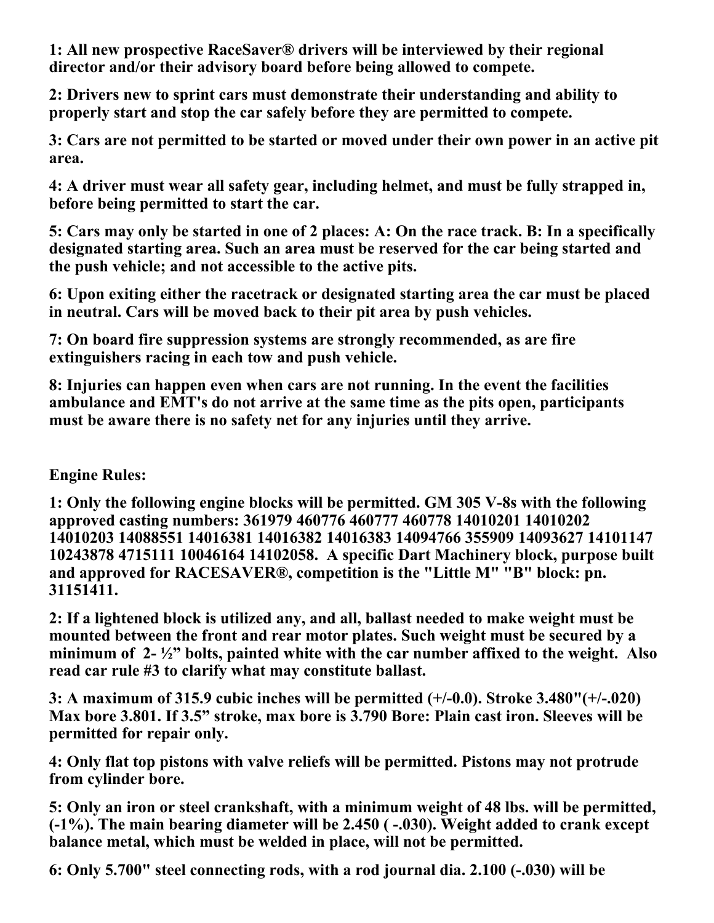**1: All new prospective RaceSaver® drivers will be interviewed by their regional director and/or their advisory board before being allowed to compete.**

**2: Drivers new to sprint cars must demonstrate their understanding and ability to properly start and stop the car safely before they are permitted to compete.** 

**3: Cars are not permitted to be started or moved under their own power in an active pit area.**

**4: A driver must wear all safety gear, including helmet, and must be fully strapped in, before being permitted to start the car.**

**5: Cars may only be started in one of 2 places: A: On the race track. B: In a specifically designated starting area. Such an area must be reserved for the car being started and the push vehicle; and not accessible to the active pits.**

**6: Upon exiting either the racetrack or designated starting area the car must be placed in neutral. Cars will be moved back to their pit area by push vehicles.**

**7: On board fire suppression systems are strongly recommended, as are fire extinguishers racing in each tow and push vehicle.**

**8: Injuries can happen even when cars are not running. In the event the facilities ambulance and EMT's do not arrive at the same time as the pits open, participants must be aware there is no safety net for any injuries until they arrive.**

# **Engine Rules:**

**1: Only the following engine blocks will be permitted. GM 305 V-8s with the following approved casting numbers: 361979 460776 460777 460778 14010201 14010202 14010203 14088551 14016381 14016382 14016383 14094766 355909 14093627 14101147 10243878 4715111 10046164 14102058. A specific Dart Machinery block, purpose built and approved for RACESAVER®, competition is the "Little M" "B" block: pn. 31151411.**

**2: If a lightened block is utilized any, and all, ballast needed to make weight must be mounted between the front and rear motor plates. Such weight must be secured by a minimum of 2- ½" bolts, painted white with the car number affixed to the weight. Also read car rule #3 to clarify what may constitute ballast.**

**3: A maximum of 315.9 cubic inches will be permitted (+/-0.0). Stroke 3.480"(+/-.020) Max bore 3.801. If 3.5" stroke, max bore is 3.790 Bore: Plain cast iron. Sleeves will be permitted for repair only.** 

**4: Only flat top pistons with valve reliefs will be permitted. Pistons may not protrude from cylinder bore.** 

**5: Only an iron or steel crankshaft, with a minimum weight of 48 lbs. will be permitted, (-1%). The main bearing diameter will be 2.450 ( -.030). Weight added to crank except balance metal, which must be welded in place, will not be permitted.** 

**6: Only 5.700" steel connecting rods, with a rod journal dia. 2.100 (-.030) will be**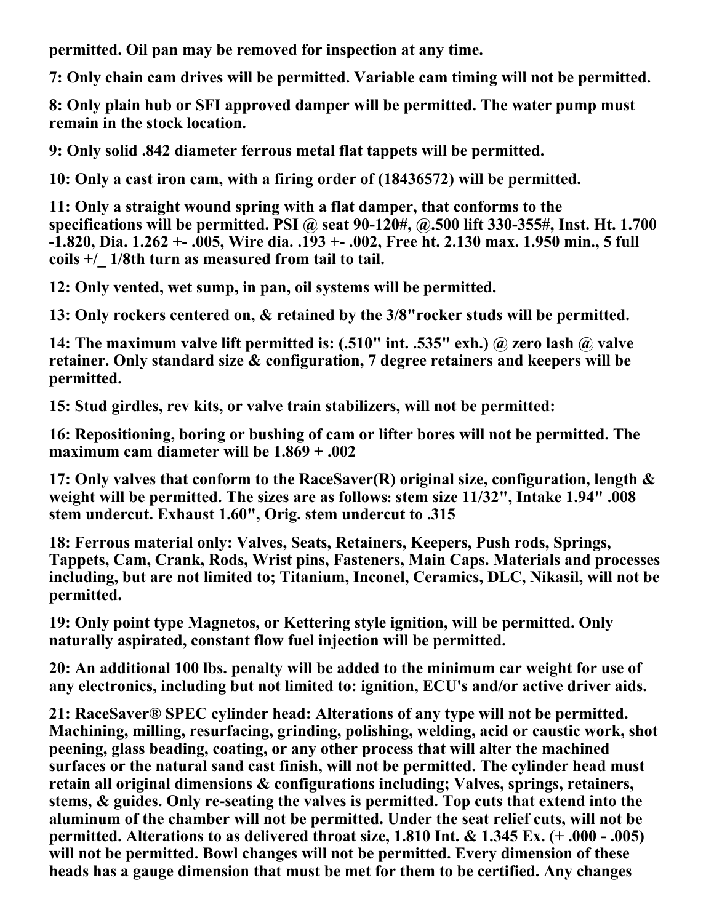**permitted. Oil pan may be removed for inspection at any time.**

**7: Only chain cam drives will be permitted. Variable cam timing will not be permitted.**

**8: Only plain hub or SFI approved damper will be permitted. The water pump must remain in the stock location.**

**9: Only solid .842 diameter ferrous metal flat tappets will be permitted.**

**10: Only a cast iron cam, with a firing order of (18436572) will be permitted.**

**11: Only a straight wound spring with a flat damper, that conforms to the specifications will be permitted. PSI @ seat 90-120#, @.500 lift 330-355#, Inst. Ht. 1.700 -1.820, Dia. 1.262 +- .005, Wire dia. .193 +- .002, Free ht. 2.130 max. 1.950 min., 5 full coils +/\_ 1/8th turn as measured from tail to tail.** 

**12: Only vented, wet sump, in pan, oil systems will be permitted.** 

**13: Only rockers centered on, & retained by the 3/8"rocker studs will be permitted.** 

**14: The maximum valve lift permitted is: (.510" int. .535" exh.) @ zero lash @ valve retainer. Only standard size & configuration, 7 degree retainers and keepers will be permitted.**

**15: Stud girdles, rev kits, or valve train stabilizers, will not be permitted:**

**16: Repositioning, boring or bushing of cam or lifter bores will not be permitted. The maximum cam diameter will be 1.869 + .002**

**17: Only valves that conform to the RaceSaver(R) original size, configuration, length & weight will be permitted. The sizes are as follows: stem size 11/32", Intake 1.94" .008 stem undercut. Exhaust 1.60", Orig. stem undercut to .315**

**18: Ferrous material only: Valves, Seats, Retainers, Keepers, Push rods, Springs, Tappets, Cam, Crank, Rods, Wrist pins, Fasteners, Main Caps. Materials and processes including, but are not limited to; Titanium, Inconel, Ceramics, DLC, Nikasil, will not be permitted.** 

**19: Only point type Magnetos, or Kettering style ignition, will be permitted. Only naturally aspirated, constant flow fuel injection will be permitted.** 

**20: An additional 100 lbs. penalty will be added to the minimum car weight for use of any electronics, including but not limited to: ignition, ECU's and/or active driver aids.** 

**21: RaceSaver® SPEC cylinder head: Alterations of any type will not be permitted. Machining, milling, resurfacing, grinding, polishing, welding, acid or caustic work, shot peening, glass beading, coating, or any other process that will alter the machined surfaces or the natural sand cast finish, will not be permitted. The cylinder head must retain all original dimensions & configurations including; Valves, springs, retainers, stems, & guides. Only re-seating the valves is permitted. Top cuts that extend into the aluminum of the chamber will not be permitted. Under the seat relief cuts, will not be permitted. Alterations to as delivered throat size, 1.810 Int. & 1.345 Ex. (+ .000 - .005) will not be permitted. Bowl changes will not be permitted. Every dimension of these heads has a gauge dimension that must be met for them to be certified. Any changes**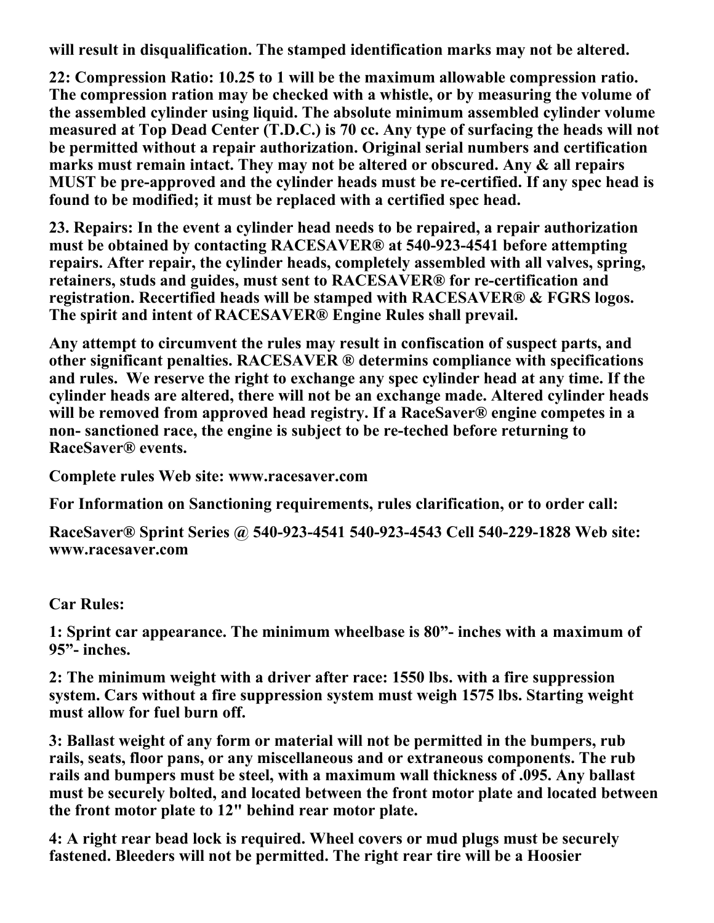**will result in disqualification. The stamped identification marks may not be altered.**

**22: Compression Ratio: 10.25 to 1 will be the maximum allowable compression ratio. The compression ration may be checked with a whistle, or by measuring the volume of the assembled cylinder using liquid. The absolute minimum assembled cylinder volume measured at Top Dead Center (T.D.C.) is 70 cc. Any type of surfacing the heads will not be permitted without a repair authorization. Original serial numbers and certification marks must remain intact. They may not be altered or obscured. Any & all repairs MUST be pre-approved and the cylinder heads must be re-certified. If any spec head is found to be modified; it must be replaced with a certified spec head.** 

**23. Repairs: In the event a cylinder head needs to be repaired, a repair authorization must be obtained by contacting RACESAVER® at 540-923-4541 before attempting repairs. After repair, the cylinder heads, completely assembled with all valves, spring, retainers, studs and guides, must sent to RACESAVER® for re-certification and registration. Recertified heads will be stamped with RACESAVER® & FGRS logos. The spirit and intent of RACESAVER® Engine Rules shall prevail.** 

**Any attempt to circumvent the rules may result in confiscation of suspect parts, and other significant penalties. RACESAVER ® determins compliance with specifications and rules. We reserve the right to exchange any spec cylinder head at any time. If the cylinder heads are altered, there will not be an exchange made. Altered cylinder heads will be removed from approved head registry. If a RaceSaver® engine competes in a non- sanctioned race, the engine is subject to be re-teched before returning to RaceSaver® events.**

**Complete rules Web site: www.racesaver.com** 

**For Information on Sanctioning requirements, rules clarification, or to order call:**

**RaceSaver® Sprint Series @ 540-923-4541 540-923-4543 Cell 540-229-1828 Web site: www.racesaver.com** 

**Car Rules:**

**1: Sprint car appearance. The minimum wheelbase is 80"- inches with a maximum of 95"- inches.**

**2: The minimum weight with a driver after race: 1550 lbs. with a fire suppression system. Cars without a fire suppression system must weigh 1575 lbs. Starting weight must allow for fuel burn off.** 

**3: Ballast weight of any form or material will not be permitted in the bumpers, rub rails, seats, floor pans, or any miscellaneous and or extraneous components. The rub rails and bumpers must be steel, with a maximum wall thickness of .095. Any ballast must be securely bolted, and located between the front motor plate and located between the front motor plate to 12" behind rear motor plate.** 

**4: A right rear bead lock is required. Wheel covers or mud plugs must be securely fastened. Bleeders will not be permitted. The right rear tire will be a Hoosier**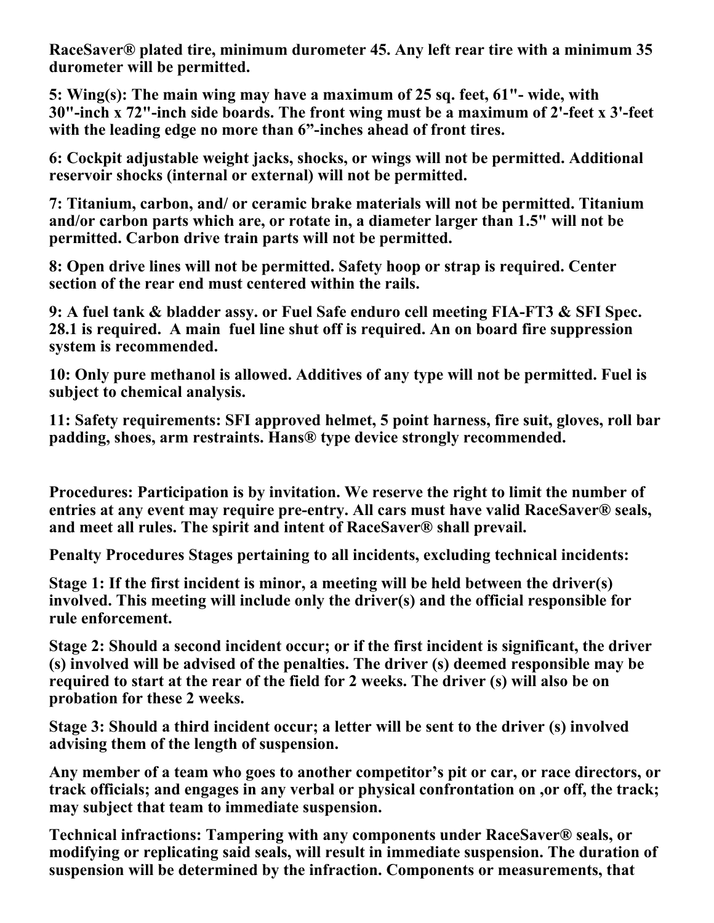**RaceSaver® plated tire, minimum durometer 45. Any left rear tire with a minimum 35 durometer will be permitted.** 

**5: Wing(s): The main wing may have a maximum of 25 sq. feet, 61"- wide, with 30"-inch x 72"-inch side boards. The front wing must be a maximum of 2'-feet x 3'-feet with the leading edge no more than 6"-inches ahead of front tires.** 

**6: Cockpit adjustable weight jacks, shocks, or wings will not be permitted. Additional reservoir shocks (internal or external) will not be permitted.**

**7: Titanium, carbon, and/ or ceramic brake materials will not be permitted. Titanium and/or carbon parts which are, or rotate in, a diameter larger than 1.5" will not be permitted. Carbon drive train parts will not be permitted.**

**8: Open drive lines will not be permitted. Safety hoop or strap is required. Center section of the rear end must centered within the rails.**

**9: A fuel tank & bladder assy. or Fuel Safe enduro cell meeting FIA-FT3 & SFI Spec. 28.1 is required. A main fuel line shut off is required. An on board fire suppression system is recommended.**

**10: Only pure methanol is allowed. Additives of any type will not be permitted. Fuel is subject to chemical analysis.**

**11: Safety requirements: SFI approved helmet, 5 point harness, fire suit, gloves, roll bar padding, shoes, arm restraints. Hans® type device strongly recommended.**

**Procedures: Participation is by invitation. We reserve the right to limit the number of entries at any event may require pre-entry. All cars must have valid RaceSaver® seals, and meet all rules. The spirit and intent of RaceSaver® shall prevail.** 

**Penalty Procedures Stages pertaining to all incidents, excluding technical incidents:**

**Stage 1: If the first incident is minor, a meeting will be held between the driver(s) involved. This meeting will include only the driver(s) and the official responsible for rule enforcement.**

**Stage 2: Should a second incident occur; or if the first incident is significant, the driver (s) involved will be advised of the penalties. The driver (s) deemed responsible may be required to start at the rear of the field for 2 weeks. The driver (s) will also be on probation for these 2 weeks.**

**Stage 3: Should a third incident occur; a letter will be sent to the driver (s) involved advising them of the length of suspension.**

**Any member of a team who goes to another competitor's pit or car, or race directors, or track officials; and engages in any verbal or physical confrontation on ,or off, the track; may subject that team to immediate suspension.**

**Technical infractions: Tampering with any components under RaceSaver® seals, or modifying or replicating said seals, will result in immediate suspension. The duration of suspension will be determined by the infraction. Components or measurements, that**